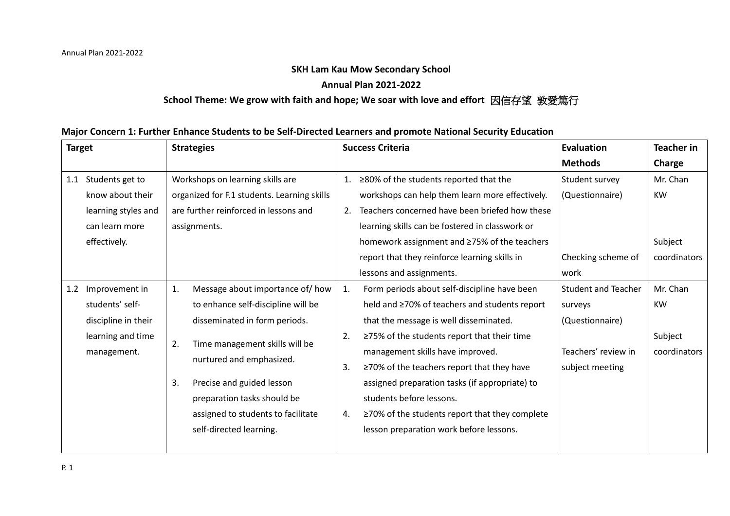## **SKH Lam Kau Mow Secondary School**

## **Annual Plan 2021-2022**

## **School Theme: We grow with faith and hope; We soar with love and effort** 因信存望 敦愛篤行

### **Major Concern 1: Further Enhance Students to be Self-Directed Learners and promote National Security Education**

| <b>Target</b> |                     | <b>Strategies</b> |                                             |    | <b>Success Criteria</b>                              | Evaluation                 | <b>Teacher in</b> |
|---------------|---------------------|-------------------|---------------------------------------------|----|------------------------------------------------------|----------------------------|-------------------|
|               |                     |                   |                                             |    |                                                      | <b>Methods</b>             | Charge            |
| 1.1           | Students get to     |                   | Workshops on learning skills are            | 1. | ≥80% of the students reported that the               | Student survey             | Mr. Chan          |
|               | know about their    |                   | organized for F.1 students. Learning skills |    | workshops can help them learn more effectively.      | (Questionnaire)            | <b>KW</b>         |
|               | learning styles and |                   | are further reinforced in lessons and       | 2. | Teachers concerned have been briefed how these       |                            |                   |
|               | can learn more      |                   | assignments.                                |    | learning skills can be fostered in classwork or      |                            |                   |
|               | effectively.        |                   |                                             |    | homework assignment and ≥75% of the teachers         |                            | Subject           |
|               |                     |                   |                                             |    | report that they reinforce learning skills in        | Checking scheme of         | coordinators      |
|               |                     |                   |                                             |    | lessons and assignments.                             | work                       |                   |
| 1.2           | Improvement in      | 1.                | Message about importance of/ how            | 1. | Form periods about self-discipline have been         | <b>Student and Teacher</b> | Mr. Chan          |
|               | students' self-     |                   | to enhance self-discipline will be          |    | held and ≥70% of teachers and students report        | surveys                    | <b>KW</b>         |
|               | discipline in their |                   | disseminated in form periods.               |    | that the message is well disseminated.               | (Questionnaire)            |                   |
|               | learning and time   | 2.                | Time management skills will be              | 2. | $\geq$ 75% of the students report that their time    |                            | Subject           |
|               | management.         |                   |                                             |    | management skills have improved.                     | Teachers' review in        | coordinators      |
|               |                     |                   | nurtured and emphasized.                    | 3. | $\geq$ 70% of the teachers report that they have     | subject meeting            |                   |
|               |                     | 3.                | Precise and guided lesson                   |    | assigned preparation tasks (if appropriate) to       |                            |                   |
|               |                     |                   | preparation tasks should be                 |    | students before lessons.                             |                            |                   |
|               |                     |                   | assigned to students to facilitate          | 4. | $\geq$ 70% of the students report that they complete |                            |                   |
|               |                     |                   | self-directed learning.                     |    | lesson preparation work before lessons.              |                            |                   |
|               |                     |                   |                                             |    |                                                      |                            |                   |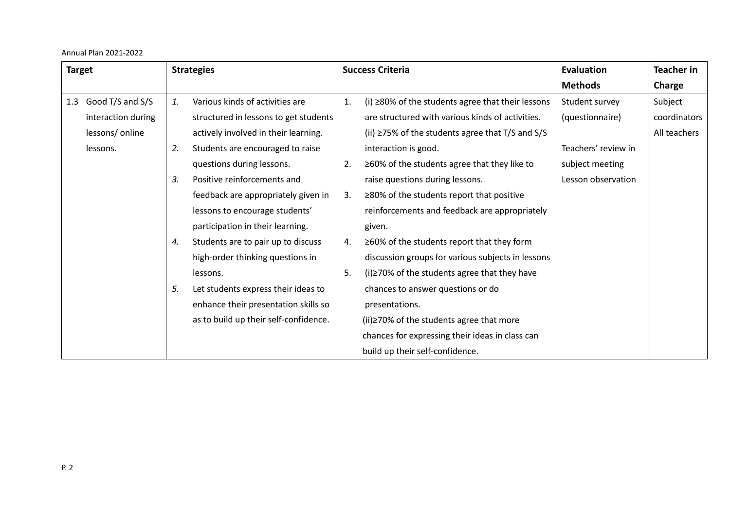| <b>Target</b>           |                 | <b>Strategies</b>                     |    | <b>Success Criteria</b>                                   | Evaluation          | <b>Teacher in</b> |
|-------------------------|-----------------|---------------------------------------|----|-----------------------------------------------------------|---------------------|-------------------|
|                         |                 |                                       |    |                                                           | <b>Methods</b>      | Charge            |
| Good T/S and S/S<br>1.3 | 1.              | Various kinds of activities are       | 1. | $(i)$ $\geq$ 80% of the students agree that their lessons | Student survey      | Subject           |
| interaction during      |                 | structured in lessons to get students |    | are structured with various kinds of activities.          | (questionnaire)     | coordinators      |
| lessons/ online         |                 | actively involved in their learning.  |    | (ii) $\ge$ 75% of the students agree that T/S and S/S     |                     | All teachers      |
| lessons.                | 2.              | Students are encouraged to raise      |    | interaction is good.                                      | Teachers' review in |                   |
|                         |                 | questions during lessons.             | 2. | $\geq$ 60% of the students agree that they like to        | subject meeting     |                   |
|                         | $\mathcal{Z}$ . | Positive reinforcements and           |    | raise questions during lessons.                           | Lesson observation  |                   |
|                         |                 | feedback are appropriately given in   | 3. | $\geq$ 80% of the students report that positive           |                     |                   |
|                         |                 | lessons to encourage students'        |    | reinforcements and feedback are appropriately             |                     |                   |
|                         |                 | participation in their learning.      |    | given.                                                    |                     |                   |
|                         | 4.              | Students are to pair up to discuss    | 4. | $\geq$ 60% of the students report that they form          |                     |                   |
|                         |                 | high-order thinking questions in      |    | discussion groups for various subjects in lessons         |                     |                   |
|                         |                 | lessons.                              | 5. | $(i) \ge 70\%$ of the students agree that they have       |                     |                   |
|                         | 5.              | Let students express their ideas to   |    | chances to answer questions or do                         |                     |                   |
|                         |                 | enhance their presentation skills so  |    | presentations.                                            |                     |                   |
|                         |                 | as to build up their self-confidence. |    | $(ii) \ge 70\%$ of the students agree that more           |                     |                   |
|                         |                 |                                       |    | chances for expressing their ideas in class can           |                     |                   |
|                         |                 |                                       |    | build up their self-confidence.                           |                     |                   |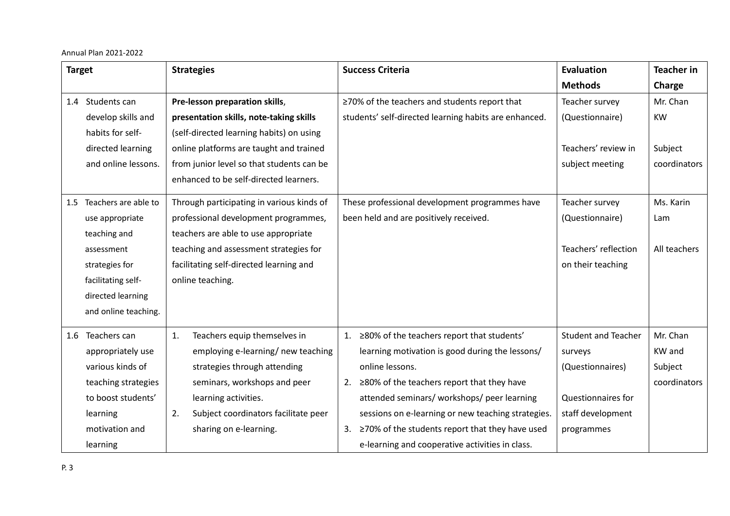| <b>Target</b> |                      | <b>Strategies</b>                         |                                           |    | <b>Success Criteria</b>                               | <b>Evaluation</b>          | <b>Teacher in</b> |
|---------------|----------------------|-------------------------------------------|-------------------------------------------|----|-------------------------------------------------------|----------------------------|-------------------|
|               |                      |                                           |                                           |    |                                                       | <b>Methods</b>             | Charge            |
|               | 1.4 Students can     |                                           | Pre-lesson preparation skills,            |    | ≥70% of the teachers and students report that         | Teacher survey             | Mr. Chan          |
|               | develop skills and   |                                           | presentation skills, note-taking skills   |    | students' self-directed learning habits are enhanced. | (Questionnaire)            | <b>KW</b>         |
|               | habits for self-     |                                           | (self-directed learning habits) on using  |    |                                                       |                            |                   |
|               | directed learning    |                                           | online platforms are taught and trained   |    |                                                       | Teachers' review in        | Subject           |
|               | and online lessons.  |                                           | from junior level so that students can be |    |                                                       | subject meeting            | coordinators      |
|               |                      |                                           | enhanced to be self-directed learners.    |    |                                                       |                            |                   |
| 1.5           | Teachers are able to | Through participating in various kinds of |                                           |    | These professional development programmes have        | Teacher survey             | Ms. Karin         |
|               | use appropriate      |                                           | professional development programmes,      |    | been held and are positively received.                | (Questionnaire)            | Lam               |
|               | teaching and         |                                           | teachers are able to use appropriate      |    |                                                       |                            |                   |
|               | assessment           | teaching and assessment strategies for    |                                           |    |                                                       | Teachers' reflection       | All teachers      |
|               | strategies for       |                                           | facilitating self-directed learning and   |    |                                                       | on their teaching          |                   |
|               | facilitating self-   |                                           | online teaching.                          |    |                                                       |                            |                   |
|               | directed learning    |                                           |                                           |    |                                                       |                            |                   |
|               | and online teaching. |                                           |                                           |    |                                                       |                            |                   |
| 1.6           | Teachers can         | 1.                                        | Teachers equip themselves in              | 1. | ≥80% of the teachers report that students'            | <b>Student and Teacher</b> | Mr. Chan          |
|               | appropriately use    |                                           | employing e-learning/ new teaching        |    | learning motivation is good during the lessons/       | surveys                    | KW and            |
|               | various kinds of     |                                           | strategies through attending              |    | online lessons.                                       | (Questionnaires)           | Subject           |
|               | teaching strategies  |                                           | seminars, workshops and peer              | 2. | ≥80% of the teachers report that they have            |                            | coordinators      |
|               | to boost students'   |                                           | learning activities.                      |    | attended seminars/ workshops/ peer learning           | Questionnaires for         |                   |
|               | learning             | 2.                                        | Subject coordinators facilitate peer      |    | sessions on e-learning or new teaching strategies.    | staff development          |                   |
|               | motivation and       |                                           | sharing on e-learning.                    | 3. | ≥70% of the students report that they have used       | programmes                 |                   |
|               | learning             |                                           |                                           |    | e-learning and cooperative activities in class.       |                            |                   |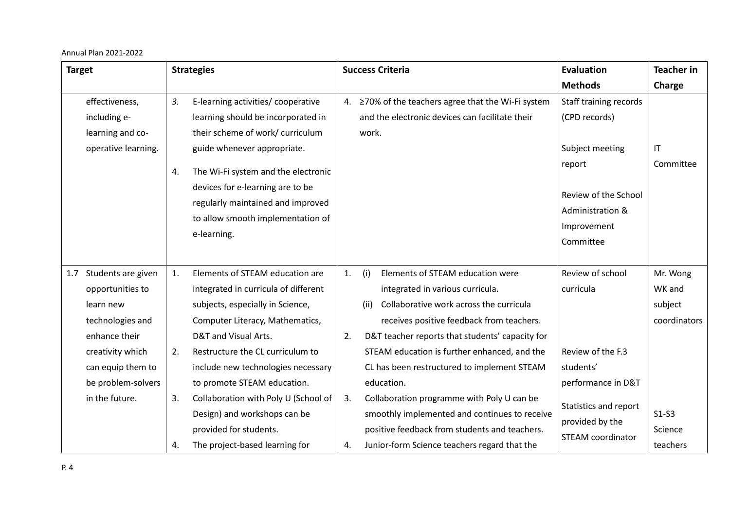Annual Plan 2021-2022

| <b>Target</b>                                                                                                                                                                    | <b>Strategies</b>                                                                                                                                                                                                                                                                                                                                                                                                                           | <b>Success Criteria</b>                                                                                                                                                                                                                                                                                                                                                                                                                                                                                                                                             | Evaluation                                                                                                                                             | <b>Teacher in</b>                                                               |
|----------------------------------------------------------------------------------------------------------------------------------------------------------------------------------|---------------------------------------------------------------------------------------------------------------------------------------------------------------------------------------------------------------------------------------------------------------------------------------------------------------------------------------------------------------------------------------------------------------------------------------------|---------------------------------------------------------------------------------------------------------------------------------------------------------------------------------------------------------------------------------------------------------------------------------------------------------------------------------------------------------------------------------------------------------------------------------------------------------------------------------------------------------------------------------------------------------------------|--------------------------------------------------------------------------------------------------------------------------------------------------------|---------------------------------------------------------------------------------|
|                                                                                                                                                                                  |                                                                                                                                                                                                                                                                                                                                                                                                                                             |                                                                                                                                                                                                                                                                                                                                                                                                                                                                                                                                                                     | <b>Methods</b>                                                                                                                                         | Charge                                                                          |
| effectiveness,<br>including e-<br>learning and co-<br>operative learning.                                                                                                        | 3.<br>E-learning activities/ cooperative<br>learning should be incorporated in<br>their scheme of work/ curriculum<br>guide whenever appropriate.<br>The Wi-Fi system and the electronic<br>4.<br>devices for e-learning are to be<br>regularly maintained and improved<br>to allow smooth implementation of<br>e-learning.                                                                                                                 | 4. ≥70% of the teachers agree that the Wi-Fi system<br>and the electronic devices can facilitate their<br>work.                                                                                                                                                                                                                                                                                                                                                                                                                                                     | Staff training records<br>(CPD records)<br>Subject meeting<br>report<br>Review of the School<br>Administration &<br>Improvement<br>Committee           | IT<br>Committee                                                                 |
| Students are given<br>1.7<br>opportunities to<br>learn new<br>technologies and<br>enhance their<br>creativity which<br>can equip them to<br>be problem-solvers<br>in the future. | Elements of STEAM education are<br>1.<br>integrated in curricula of different<br>subjects, especially in Science,<br>Computer Literacy, Mathematics,<br>D&T and Visual Arts.<br>Restructure the CL curriculum to<br>2.<br>include new technologies necessary<br>to promote STEAM education.<br>Collaboration with Poly U (School of<br>3.<br>Design) and workshops can be<br>provided for students.<br>The project-based learning for<br>4. | Elements of STEAM education were<br>1.<br>(i)<br>integrated in various curricula.<br>Collaborative work across the curricula<br>(ii)<br>receives positive feedback from teachers.<br>2.<br>D&T teacher reports that students' capacity for<br>STEAM education is further enhanced, and the<br>CL has been restructured to implement STEAM<br>education.<br>Collaboration programme with Poly U can be<br>3.<br>smoothly implemented and continues to receive<br>positive feedback from students and teachers.<br>Junior-form Science teachers regard that the<br>4. | Review of school<br>curricula<br>Review of the F.3<br>students'<br>performance in D&T<br>Statistics and report<br>provided by the<br>STEAM coordinator | Mr. Wong<br>WK and<br>subject<br>coordinators<br>$S1-S3$<br>Science<br>teachers |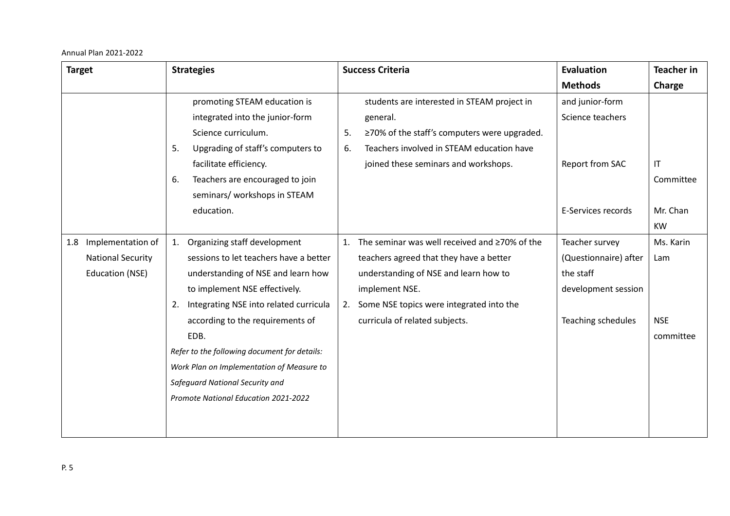Annual Plan 2021-2022

| <b>Target</b>            | <b>Strategies</b>                            | <b>Success Criteria</b>                             | <b>Evaluation</b>         | <b>Teacher in</b> |
|--------------------------|----------------------------------------------|-----------------------------------------------------|---------------------------|-------------------|
|                          |                                              |                                                     | <b>Methods</b>            | Charge            |
|                          | promoting STEAM education is                 | students are interested in STEAM project in         | and junior-form           |                   |
|                          | integrated into the junior-form              | general.                                            | Science teachers          |                   |
|                          | Science curriculum.                          | ≥70% of the staff's computers were upgraded.<br>5.  |                           |                   |
|                          | Upgrading of staff's computers to<br>5.      | Teachers involved in STEAM education have<br>6.     |                           |                   |
|                          | facilitate efficiency.                       | joined these seminars and workshops.                | Report from SAC           | IT                |
|                          | Teachers are encouraged to join<br>6.        |                                                     |                           | Committee         |
|                          | seminars/ workshops in STEAM                 |                                                     |                           |                   |
|                          | education.                                   |                                                     | E-Services records        | Mr. Chan          |
|                          |                                              |                                                     |                           | <b>KW</b>         |
| Implementation of<br>1.8 | Organizing staff development<br>1.           | The seminar was well received and ≥70% of the<br>1. | Teacher survey            | Ms. Karin         |
| <b>National Security</b> | sessions to let teachers have a better       | teachers agreed that they have a better             | (Questionnaire) after     | Lam               |
| <b>Education (NSE)</b>   | understanding of NSE and learn how           | understanding of NSE and learn how to               | the staff                 |                   |
|                          | to implement NSE effectively.                | implement NSE.                                      | development session       |                   |
|                          | Integrating NSE into related curricula<br>2. | Some NSE topics were integrated into the<br>2.      |                           |                   |
|                          | according to the requirements of             | curricula of related subjects.                      | <b>Teaching schedules</b> | <b>NSE</b>        |
|                          | EDB.                                         |                                                     |                           | committee         |
|                          | Refer to the following document for details: |                                                     |                           |                   |
|                          | Work Plan on Implementation of Measure to    |                                                     |                           |                   |
|                          | Safeguard National Security and              |                                                     |                           |                   |
|                          | Promote National Education 2021-2022         |                                                     |                           |                   |
|                          |                                              |                                                     |                           |                   |
|                          |                                              |                                                     |                           |                   |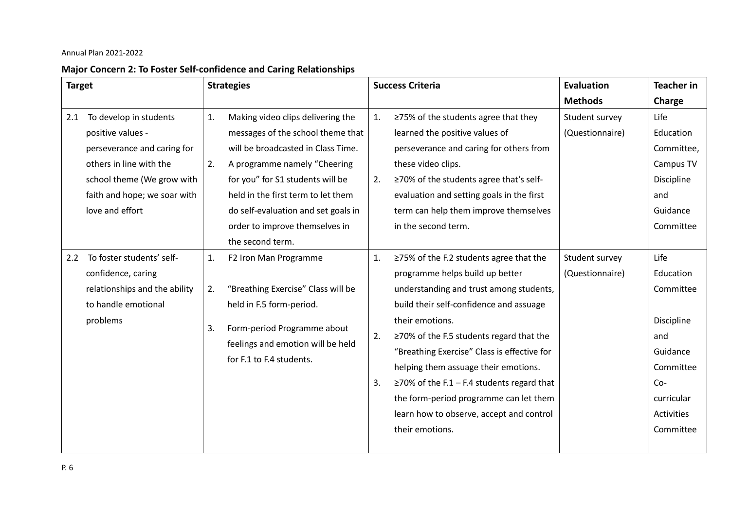# **Major Concern 2: To Foster Self-confidence and Caring Relationships**

| <b>Target</b> |                               | <b>Strategies</b> |                                                               |    | <b>Success Criteria</b>                          | Evaluation      | <b>Teacher in</b> |
|---------------|-------------------------------|-------------------|---------------------------------------------------------------|----|--------------------------------------------------|-----------------|-------------------|
|               |                               |                   |                                                               |    |                                                  | <b>Methods</b>  | Charge            |
| 2.1           | To develop in students        | 1.                | Making video clips delivering the                             | 1. | ≥75% of the students agree that they             | Student survey  | Life              |
|               | positive values -             |                   | messages of the school theme that                             |    | learned the positive values of                   | (Questionnaire) | Education         |
|               | perseverance and caring for   |                   | will be broadcasted in Class Time.                            |    | perseverance and caring for others from          |                 | Committee,        |
|               | others in line with the       | 2.                | A programme namely "Cheering                                  |    | these video clips.                               |                 | Campus TV         |
|               | school theme (We grow with    |                   | for you" for S1 students will be                              | 2. | ≥70% of the students agree that's self-          |                 | Discipline        |
|               | faith and hope; we soar with  |                   | held in the first term to let them                            |    | evaluation and setting goals in the first        |                 | and               |
|               | love and effort               |                   | do self-evaluation and set goals in                           |    | term can help them improve themselves            |                 | Guidance          |
|               |                               |                   | order to improve themselves in                                |    | in the second term.                              |                 | Committee         |
|               |                               |                   | the second term.                                              |    |                                                  |                 |                   |
| 2.2           | To foster students' self-     | 1.                | F2 Iron Man Programme                                         | 1. | ≥75% of the F.2 students agree that the          | Student survey  | Life              |
|               | confidence, caring            |                   |                                                               |    | programme helps build up better                  | (Questionnaire) | Education         |
|               | relationships and the ability | 2.                | "Breathing Exercise" Class will be                            |    | understanding and trust among students,          |                 | Committee         |
|               | to handle emotional           |                   | held in F.5 form-period.                                      |    | build their self-confidence and assuage          |                 |                   |
|               | problems                      | 3.                | Form-period Programme about                                   |    | their emotions.                                  |                 | Discipline        |
|               |                               |                   |                                                               | 2. | $\geq$ 70% of the F.5 students regard that the   |                 | and               |
|               |                               |                   | feelings and emotion will be held<br>for F.1 to F.4 students. |    | "Breathing Exercise" Class is effective for      |                 | Guidance          |
|               |                               |                   |                                                               |    | helping them assuage their emotions.             |                 | Committee         |
|               |                               |                   |                                                               | 3. | $\geq$ 70% of the F.1 – F.4 students regard that |                 | $Co-$             |
|               |                               |                   |                                                               |    | the form-period programme can let them           |                 | curricular        |
|               |                               |                   |                                                               |    | learn how to observe, accept and control         |                 | Activities        |
|               |                               |                   |                                                               |    | their emotions.                                  |                 | Committee         |
|               |                               |                   |                                                               |    |                                                  |                 |                   |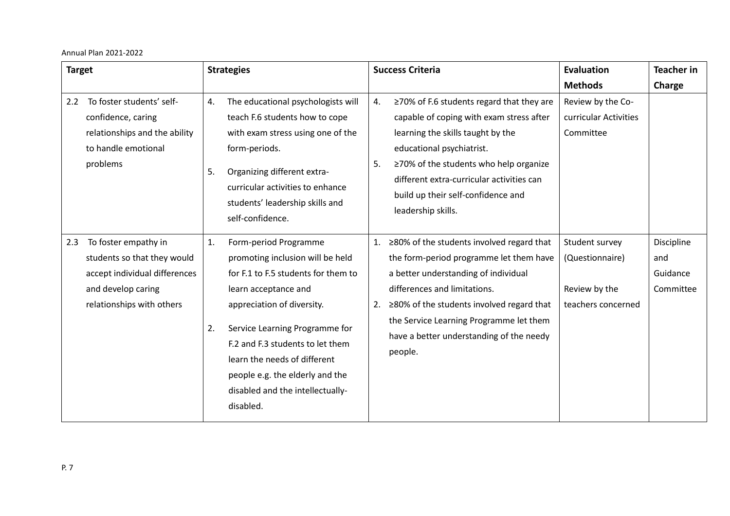Annual Plan 2021-2022

| <b>Target</b> |                                                                                                                                         | <b>Strategies</b> |                                                                                                                                                                                                                                                                                                                                                  |          | <b>Success Criteria</b>                                                                                                                                                                                                                                                                                                 | <b>Evaluation</b>                                                        | <b>Teacher in</b>                          |
|---------------|-----------------------------------------------------------------------------------------------------------------------------------------|-------------------|--------------------------------------------------------------------------------------------------------------------------------------------------------------------------------------------------------------------------------------------------------------------------------------------------------------------------------------------------|----------|-------------------------------------------------------------------------------------------------------------------------------------------------------------------------------------------------------------------------------------------------------------------------------------------------------------------------|--------------------------------------------------------------------------|--------------------------------------------|
|               |                                                                                                                                         |                   |                                                                                                                                                                                                                                                                                                                                                  |          |                                                                                                                                                                                                                                                                                                                         | <b>Methods</b>                                                           | Charge                                     |
| 2.2           | To foster students' self-<br>confidence, caring<br>relationships and the ability<br>to handle emotional<br>problems                     | 4.<br>5.          | The educational psychologists will<br>teach F.6 students how to cope<br>with exam stress using one of the<br>form-periods.<br>Organizing different extra-<br>curricular activities to enhance<br>students' leadership skills and<br>self-confidence.                                                                                             | 4.<br>5. | $\geq$ 70% of F.6 students regard that they are<br>capable of coping with exam stress after<br>learning the skills taught by the<br>educational psychiatrist.<br>≥70% of the students who help organize<br>different extra-curricular activities can<br>build up their self-confidence and<br>leadership skills.        | Review by the Co-<br>curricular Activities<br>Committee                  |                                            |
| 2.3           | To foster empathy in<br>students so that they would<br>accept individual differences<br>and develop caring<br>relationships with others | 1.<br>2.          | Form-period Programme<br>promoting inclusion will be held<br>for F.1 to F.5 students for them to<br>learn acceptance and<br>appreciation of diversity.<br>Service Learning Programme for<br>F.2 and F.3 students to let them<br>learn the needs of different<br>people e.g. the elderly and the<br>disabled and the intellectually-<br>disabled. | 1.<br>2. | $\geq$ 80% of the students involved regard that<br>the form-period programme let them have<br>a better understanding of individual<br>differences and limitations.<br>$\geq$ 80% of the students involved regard that<br>the Service Learning Programme let them<br>have a better understanding of the needy<br>people. | Student survey<br>(Questionnaire)<br>Review by the<br>teachers concerned | Discipline<br>and<br>Guidance<br>Committee |